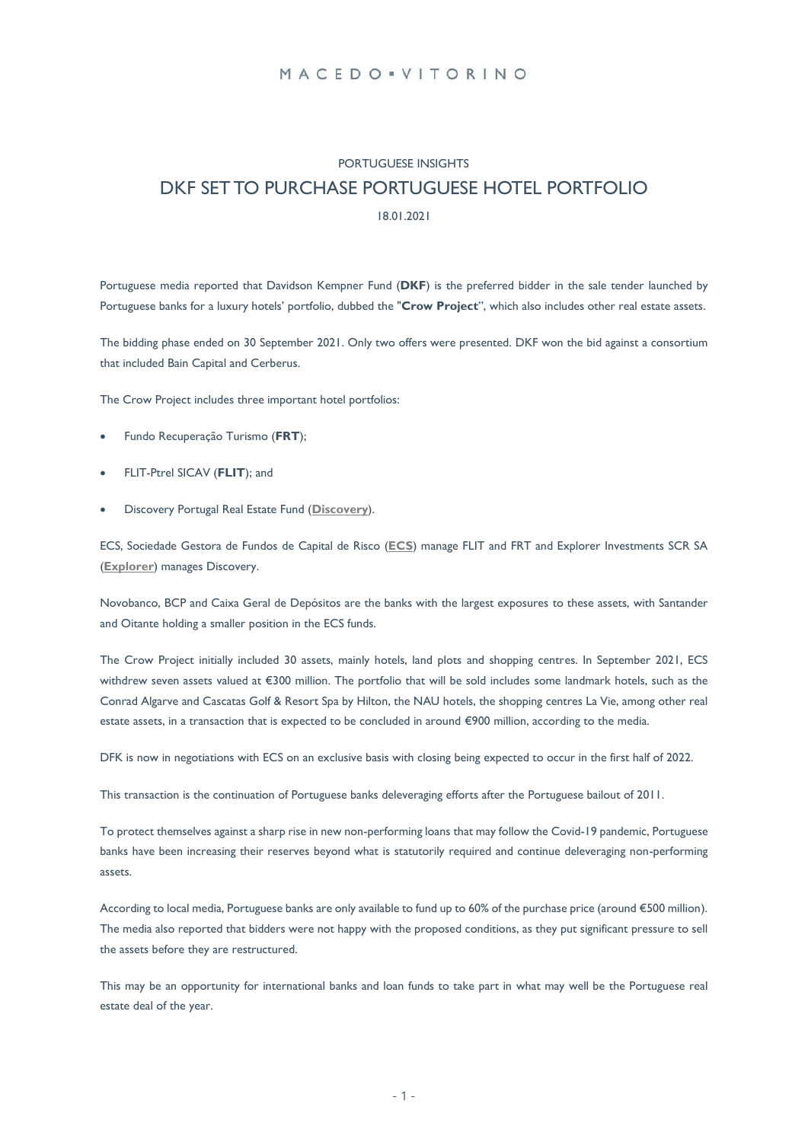## MACEDO . VITORINO

# PORTUGUESE INSIGHTS DKF SET TO PURCHASE PORTUGUESE HOTEL PORTFOLIO

#### 18.01.2021

Portuguese media reported that Davidson Kempner Fund (**DKF**) is the preferred bidder in the sale tender launched by Portuguese banks for a luxury hotels' portfolio, dubbed the "**Crow Project**", which also includes other real estate assets.

The bidding phase ended on 30 September 2021. Only two offers were presented. DKF won the bid against a consortium that included Bain Capital and Cerberus.

The Crow Project includes three important hotel portfolios:

- Fundo Recuperação Turismo (**FRT**);
- FLIT-Ptrel SICAV (**FLIT**); and
- Discovery Portugal Real Estate Fund (**[Discovery](https://discoveryportugal.com/)**).

ECS, Sociedade Gestora de Fundos de Capital de Risco (**[ECS](https://www.ecs.pt/index.php/pt/)**) manage FLIT and FRT and Explorer Investments SCR SA (**[Explorer](https://www.explorerinvestments.com/)**) manages Discovery.

Novobanco, BCP and Caixa Geral de Depósitos are the banks with the largest exposures to these assets, with Santander and Oitante holding a smaller position in the ECS funds.

The Crow Project initially included 30 assets, mainly hotels, land plots and shopping centres. In September 2021, ECS withdrew seven assets valued at €300 million. The portfolio that will be sold includes some landmark hotels, such as the Conrad Algarve and Cascatas Golf & Resort Spa by Hilton, the NAU hotels, the shopping centres La Vie, among other real estate assets, in a transaction that is expected to be concluded in around €900 million, according to the media.

DFK is now in negotiations with ECS on an exclusive basis with closing being expected to occur in the first half of 2022.

This transaction is the continuation of Portuguese banks deleveraging efforts after the Portuguese bailout of 2011.

To protect themselves against a sharp rise in new non-performing loans that may follow the Covid-19 pandemic, Portuguese banks have been increasing their reserves beyond what is statutorily required and continue deleveraging non-performing assets.

According to local media, Portuguese banks are only available to fund up to 60% of the purchase price (around €500 million). The media also reported that bidders were not happy with the proposed conditions, as they put significant pressure to sell the assets before they are restructured.

This may be an opportunity for international banks and loan funds to take part in what may well be the Portuguese real estate deal of the year.